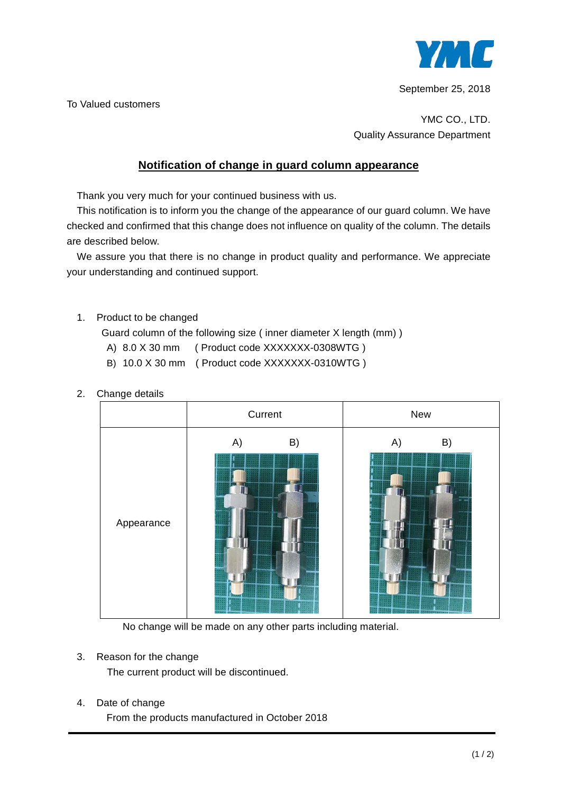

September 25, 2018

To Valued customers

YMC CO., LTD. Quality Assurance Department

## **Notification of change in guard column appearance**

Thank you very much for your continued business with us.

This notification is to inform you the change of the appearance of our guard column. We have checked and confirmed that this change does not influence on quality of the column. The details are described below.

We assure you that there is no change in product quality and performance. We appreciate your understanding and continued support.

1. Product to be changed

Guard column of the following size ( inner diameter X length (mm) )

- A) 8.0 X 30 mm ( Product code XXXXXXX-0308WTG )
- B) 10.0 X 30 mm ( Product code XXXXXXX-0310WTG )



2. Change details

No change will be made on any other parts including material.

3. Reason for the change

The current product will be discontinued.

4. Date of change

From the products manufactured in October 2018